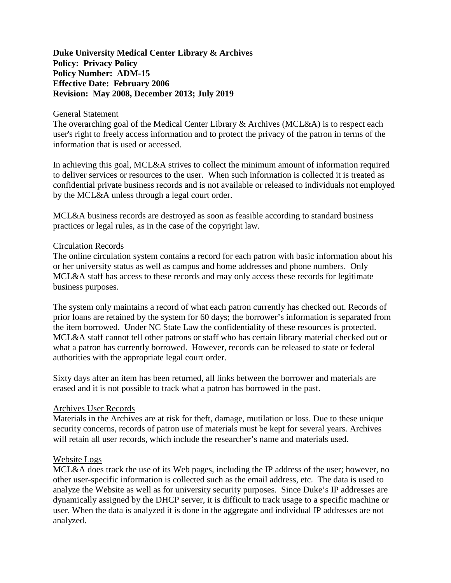# **Duke University Medical Center Library & Archives Policy: Privacy Policy Policy Number: ADM-15 Effective Date: February 2006 Revision: May 2008, December 2013; July 2019**

#### General Statement

The overarching goal of the Medical Center Library & Archives (MCL&A) is to respect each user's right to freely access information and to protect the privacy of the patron in terms of the information that is used or accessed.

In achieving this goal, MCL&A strives to collect the minimum amount of information required to deliver services or resources to the user. When such information is collected it is treated as confidential private business records and is not available or released to individuals not employed by the MCL&A unless through a legal court order.

MCL&A business records are destroyed as soon as feasible according to standard business practices or legal rules, as in the case of the copyright law.

### Circulation Records

The online circulation system contains a record for each patron with basic information about his or her university status as well as campus and home addresses and phone numbers. Only MCL&A staff has access to these records and may only access these records for legitimate business purposes.

The system only maintains a record of what each patron currently has checked out. Records of prior loans are retained by the system for 60 days; the borrower's information is separated from the item borrowed. Under NC State Law the confidentiality of these resources is protected. MCL&A staff cannot tell other patrons or staff who has certain library material checked out or what a patron has currently borrowed. However, records can be released to state or federal authorities with the appropriate legal court order.

Sixty days after an item has been returned, all links between the borrower and materials are erased and it is not possible to track what a patron has borrowed in the past.

## Archives User Records

Materials in the Archives are at risk for theft, damage, mutilation or loss. Due to these unique security concerns, records of patron use of materials must be kept for several years. Archives will retain all user records, which include the researcher's name and materials used.

## Website Logs

MCL&A does track the use of its Web pages, including the IP address of the user; however, no other user-specific information is collected such as the email address, etc. The data is used to analyze the Website as well as for university security purposes. Since Duke's IP addresses are dynamically assigned by the DHCP server, it is difficult to track usage to a specific machine or user. When the data is analyzed it is done in the aggregate and individual IP addresses are not analyzed.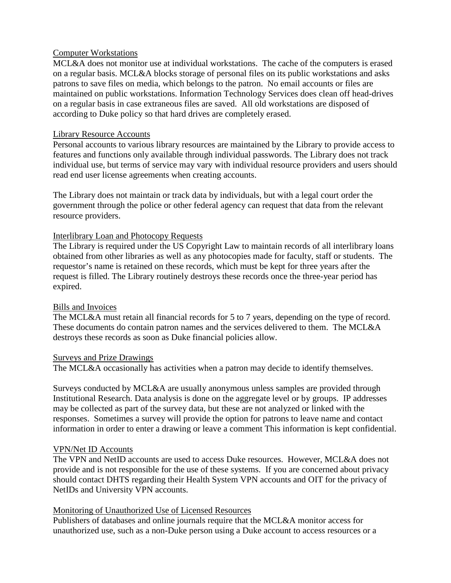## Computer Workstations

MCL&A does not monitor use at individual workstations. The cache of the computers is erased on a regular basis. MCL&A blocks storage of personal files on its public workstations and asks patrons to save files on media, which belongs to the patron. No email accounts or files are maintained on public workstations. Information Technology Services does clean off head-drives on a regular basis in case extraneous files are saved. All old workstations are disposed of according to Duke policy so that hard drives are completely erased.

## Library Resource Accounts

Personal accounts to various library resources are maintained by the Library to provide access to features and functions only available through individual passwords. The Library does not track individual use, but terms of service may vary with individual resource providers and users should read end user license agreements when creating accounts.

The Library does not maintain or track data by individuals, but with a legal court order the government through the police or other federal agency can request that data from the relevant resource providers.

### Interlibrary Loan and Photocopy Requests

The Library is required under the US Copyright Law to maintain records of all interlibrary loans obtained from other libraries as well as any photocopies made for faculty, staff or students. The requestor's name is retained on these records, which must be kept for three years after the request is filled. The Library routinely destroys these records once the three-year period has expired.

## Bills and Invoices

The MCL&A must retain all financial records for 5 to 7 years, depending on the type of record. These documents do contain patron names and the services delivered to them. The MCL&A destroys these records as soon as Duke financial policies allow.

#### Surveys and Prize Drawings

The MCL&A occasionally has activities when a patron may decide to identify themselves.

Surveys conducted by MCL&A are usually anonymous unless samples are provided through Institutional Research. Data analysis is done on the aggregate level or by groups. IP addresses may be collected as part of the survey data, but these are not analyzed or linked with the responses. Sometimes a survey will provide the option for patrons to leave name and contact information in order to enter a drawing or leave a comment This information is kept confidential.

## VPN/Net ID Accounts

The VPN and NetID accounts are used to access Duke resources. However, MCL&A does not provide and is not responsible for the use of these systems. If you are concerned about privacy should contact DHTS regarding their Health System VPN accounts and OIT for the privacy of NetIDs and University VPN accounts.

#### Monitoring of Unauthorized Use of Licensed Resources

Publishers of databases and online journals require that the MCL&A monitor access for unauthorized use, such as a non-Duke person using a Duke account to access resources or a